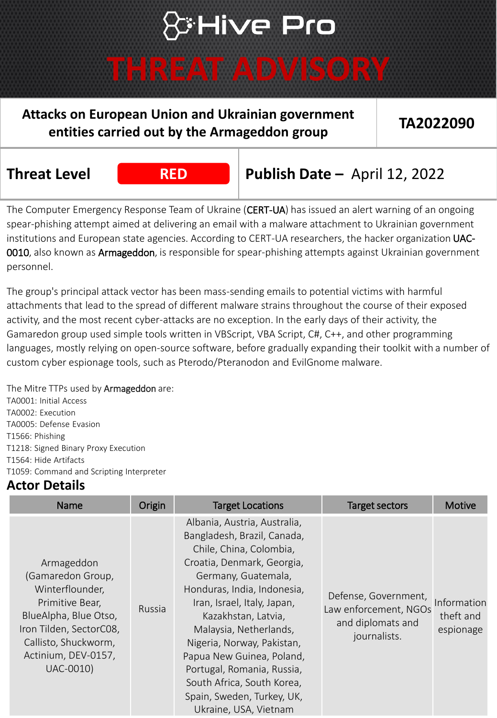### **Ative Pro**

### **THREAT ADVISORY**

### **Attacks on European Union and Ukrainian government entities carried out by the Armageddon group TA2022090**

**Threat Level RED Publish Date –** April 12, 2022

The Computer Emergency Response Team of Ukraine (CERT-UA) has issued an alert warning of an ongoing spear-phishing attempt aimed at delivering an email with a malware attachment to Ukrainian government institutions and European state agencies. According to CERT-UA researchers, the hacker organization UAC-0010, also known as Armageddon, is responsible for spear-phishing attempts against Ukrainian government personnel.

The group's principal attack vector has been mass-sending emails to potential victims with harmful attachments that lead to the spread of different malware strains throughout the course of their exposed activity, and the most recent cyber-attacks are no exception. In the early days of their activity, the Gamaredon group used simple tools written in VBScript, VBA Script, C#, C++, and other programming languages, mostly relying on open-source software, before gradually expanding their toolkit with a number of custom cyber espionage tools, such as Pterodo/Pteranodon and EvilGnome malware.

The Mitre TTPs used by **Armageddon** are: TA0001: Initial Access TA0002: Execution TA0005: Defense Evasion T1566: Phishing T1218: Signed Binary Proxy Execution T1564: Hide Artifacts T1059: Command and Scripting Interpreter

### **Actor Details**

| <b>Name</b>                                                                                                                                                                           | Origin | <b>Target Locations</b>                                                                                                                                                                                                                                                                                                                                                                                                                  | <b>Target sectors</b>                                                              | Motive                                |
|---------------------------------------------------------------------------------------------------------------------------------------------------------------------------------------|--------|------------------------------------------------------------------------------------------------------------------------------------------------------------------------------------------------------------------------------------------------------------------------------------------------------------------------------------------------------------------------------------------------------------------------------------------|------------------------------------------------------------------------------------|---------------------------------------|
| Armageddon<br>(Gamaredon Group,<br>Winterflounder,<br>Primitive Bear,<br>BlueAlpha, Blue Otso,<br>Iron Tilden, SectorC08,<br>Callisto, Shuckworm,<br>Actinium, DEV-0157,<br>UAC-0010) | Russia | Albania, Austria, Australia,<br>Bangladesh, Brazil, Canada,<br>Chile, China, Colombia,<br>Croatia, Denmark, Georgia,<br>Germany, Guatemala,<br>Honduras, India, Indonesia,<br>Iran, Israel, Italy, Japan,<br>Kazakhstan, Latvia,<br>Malaysia, Netherlands,<br>Nigeria, Norway, Pakistan,<br>Papua New Guinea, Poland,<br>Portugal, Romania, Russia,<br>South Africa, South Korea,<br>Spain, Sweden, Turkey, UK,<br>Ukraine, USA, Vietnam | Defense, Government,<br>Law enforcement, NGOs<br>and diplomats and<br>journalists. | Information<br>theft and<br>espionage |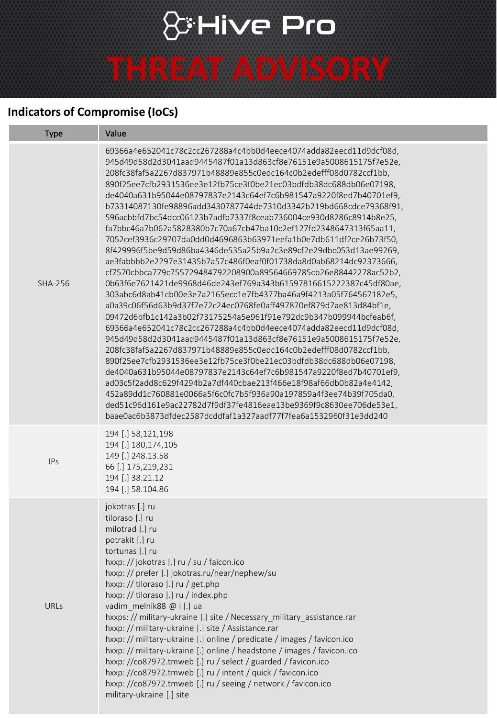# **& Hive Pro THREAT ADVISORY**

#### **Indicators of Compromise (IoCs)**

| <b>Type</b>    | Value                                                                                                                                                                                                                                                                                                                                                                                                                                                                                                                                                                                                                                                                                                                                                                                                                                                                                                                                                                                                                                                                                                                                                                                                                                                                                                                                                                                                                                                                                                                                                                                                                                                                                                                                                                                    |
|----------------|------------------------------------------------------------------------------------------------------------------------------------------------------------------------------------------------------------------------------------------------------------------------------------------------------------------------------------------------------------------------------------------------------------------------------------------------------------------------------------------------------------------------------------------------------------------------------------------------------------------------------------------------------------------------------------------------------------------------------------------------------------------------------------------------------------------------------------------------------------------------------------------------------------------------------------------------------------------------------------------------------------------------------------------------------------------------------------------------------------------------------------------------------------------------------------------------------------------------------------------------------------------------------------------------------------------------------------------------------------------------------------------------------------------------------------------------------------------------------------------------------------------------------------------------------------------------------------------------------------------------------------------------------------------------------------------------------------------------------------------------------------------------------------------|
| <b>SHA-256</b> | 69366a4e652041c78c2cc267288a4c4bb0d4eece4074adda82eecd11d9dcf08d,<br>945d49d58d2d3041aad9445487f01a13d863cf8e76151e9a5008615175f7e52e,<br>208fc38faf5a2267d837971b48889e855c0edc164c0b2edefff08d0782ccf1bb,<br>890f25ee7cfb2931536ee3e12fb75ce3f0be21ec03bdfdb38dc688db06e07198,<br>de4040a631b95044e08797837e2143c64ef7c6b981547a9220f8ed7b40701ef9,<br>b73314087130fe98896add3430787744de7310d3342b219bd668cdce79368f91,<br>596acbbfd7bc54dcc06123b7adfb7337f8ceab736004ce930d8286c8914b8e25,<br>fa7bbc46a7b062a5828380b7c70a67cb47ba10c2ef127fd2348647313f65aa11,<br>7052cef3936c29707da0dd0d4696863b63971eefa1b0e7db611df2ce26b73f50,<br>8f429996f5be9d59d86ba4346de535a25b9a2c3e89cf2e29dbc053d13ae99269,<br>ae3fabbbb2e2297e31435b7a57c486f0eaf0f01738da8d0ab68214dc92373666,<br>cf7570cbbca779c755729484792208900a89564669785cb26e88442278ac52b2,<br>0b63f6e7621421de9968d46de243ef769a343b61597816615222387c45df80ae,<br>303abc6d8ab41cb00e3e7a2165ecc1e7fb4377ba46a9f4213a05f764567182e5,<br>a0a39c06f56d63b9d37f7e72c24ec0768fe0aff497870ef879d7ae813d84bf1e,<br>09472d6bfb1c142a3b02f73175254a5e961f91e792dc9b347b099944bcfeab6f,<br>69366a4e652041c78c2cc267288a4c4bb0d4eece4074adda82eecd11d9dcf08d,<br>945d49d58d2d3041aad9445487f01a13d863cf8e76151e9a5008615175f7e52e,<br>208fc38faf5a2267d837971b48889e855c0edc164c0b2edefff08d0782ccf1bb,<br>890f25ee7cfb2931536ee3e12fb75ce3f0be21ec03bdfdb38dc688db06e07198,<br>de4040a631b95044e08797837e2143c64ef7c6b981547a9220f8ed7b40701ef9,<br>ad03c5f2add8c629f4294b2a7df440cbae213f466e18f98af66db0b82a4e4142,<br>452a89dd1c760881e0066a5f6c0fc7b5f936a90a197859a4f3ee74b39f705da0,<br>ded51c96d161e9ac22782d7f9df37fe4816eae13be9369f9c8630ee706de53e1,<br>baae0ac6b3873dfdec2587dcddfaf1a327aadf77f7fea6a1532960f31e3dd240 |
| <b>IPs</b>     | 194 [.] 58,121,198<br>194 [.] 180,174,105<br>149 [.] 248.13.58<br>66 [.] 175,219,231<br>194 [.] 38.21.12<br>194 [.] 58.104.86                                                                                                                                                                                                                                                                                                                                                                                                                                                                                                                                                                                                                                                                                                                                                                                                                                                                                                                                                                                                                                                                                                                                                                                                                                                                                                                                                                                                                                                                                                                                                                                                                                                            |
| URLs           | jokotras [.] ru<br>tiloraso [.] ru<br>milotrad [.] ru<br>potrakit [.] ru<br>tortunas [.] ru<br>hxxp: // jokotras [.] ru / su / faicon.ico<br>hxxp: // prefer [.] jokotras.ru/hear/nephew/su<br>hxxp: // tiloraso [.] ru / get.php<br>hxxp: // tiloraso [.] ru / index.php<br>vadim_melnik88 @ i [.] ua<br>hxxps: // military-ukraine [.] site / Necessary_military_assistance.rar<br>hxxp: // military-ukraine [.] site / Assistance.rar<br>hxxp: // military-ukraine [.] online / predicate / images / favicon.ico<br>hxxp: // military-ukraine [.] online / headstone / images / favicon.ico<br>hxxp: //co87972.tmweb [.] ru / select / guarded / favicon.ico<br>hxxp: //co87972.tmweb [.] ru / intent / quick / favicon.ico<br>hxxp: //co87972.tmweb [.] ru / seeing / network / favicon.ico<br>military-ukraine [.] site                                                                                                                                                                                                                                                                                                                                                                                                                                                                                                                                                                                                                                                                                                                                                                                                                                                                                                                                                             |